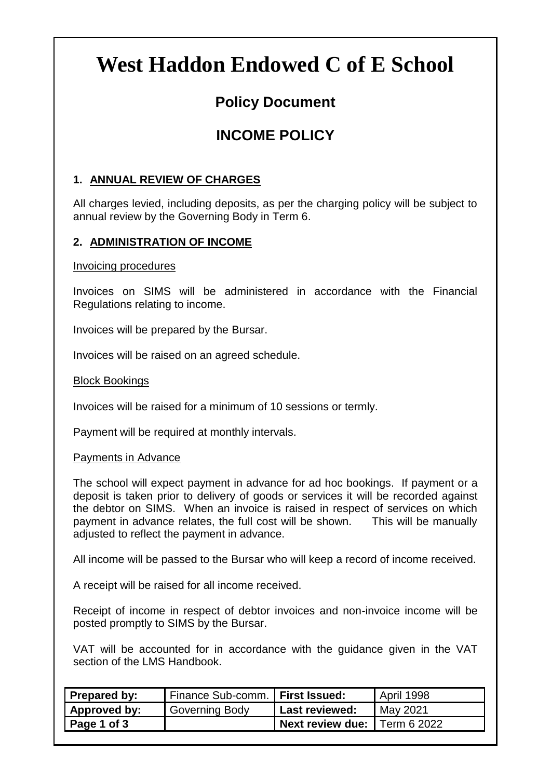# **West Haddon Endowed C of E School**

# **Policy Document**

# **INCOME POLICY**

### **1. ANNUAL REVIEW OF CHARGES**

All charges levied, including deposits, as per the charging policy will be subject to annual review by the Governing Body in Term 6.

# **2. ADMINISTRATION OF INCOME**

Invoicing procedures

Invoices on SIMS will be administered in accordance with the Financial Regulations relating to income.

Invoices will be prepared by the Bursar.

Invoices will be raised on an agreed schedule.

#### Block Bookings

Invoices will be raised for a minimum of 10 sessions or termly.

Payment will be required at monthly intervals.

#### Payments in Advance

The school will expect payment in advance for ad hoc bookings. If payment or a deposit is taken prior to delivery of goods or services it will be recorded against the debtor on SIMS. When an invoice is raised in respect of services on which payment in advance relates, the full cost will be shown. This will be manually adjusted to reflect the payment in advance.

All income will be passed to the Bursar who will keep a record of income received.

A receipt will be raised for all income received.

Receipt of income in respect of debtor invoices and non-invoice income will be posted promptly to SIMS by the Bursar.

VAT will be accounted for in accordance with the guidance given in the VAT section of the LMS Handbook.

| Prepared by: | Finance Sub-comm.   First Issued: |                                | April 1998 |
|--------------|-----------------------------------|--------------------------------|------------|
| Approved by: | Governing Body                    | <b>Last reviewed:</b>          | May 2021   |
| Page 1 of 3  |                                   | Next review due:   Term 6 2022 |            |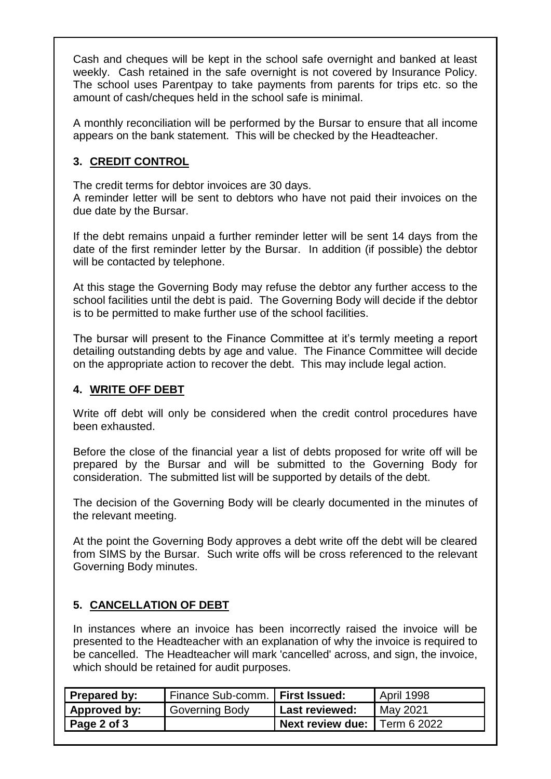Cash and cheques will be kept in the school safe overnight and banked at least weekly. Cash retained in the safe overnight is not covered by Insurance Policy. The school uses Parentpay to take payments from parents for trips etc. so the amount of cash/cheques held in the school safe is minimal.

A monthly reconciliation will be performed by the Bursar to ensure that all income appears on the bank statement. This will be checked by the Headteacher.

# **3. CREDIT CONTROL**

The credit terms for debtor invoices are 30 days.

A reminder letter will be sent to debtors who have not paid their invoices on the due date by the Bursar.

If the debt remains unpaid a further reminder letter will be sent 14 days from the date of the first reminder letter by the Bursar. In addition (if possible) the debtor will be contacted by telephone.

At this stage the Governing Body may refuse the debtor any further access to the school facilities until the debt is paid. The Governing Body will decide if the debtor is to be permitted to make further use of the school facilities.

The bursar will present to the Finance Committee at it's termly meeting a report detailing outstanding debts by age and value. The Finance Committee will decide on the appropriate action to recover the debt. This may include legal action.

# **4. WRITE OFF DEBT**

Write off debt will only be considered when the credit control procedures have been exhausted.

Before the close of the financial year a list of debts proposed for write off will be prepared by the Bursar and will be submitted to the Governing Body for consideration. The submitted list will be supported by details of the debt.

The decision of the Governing Body will be clearly documented in the minutes of the relevant meeting.

At the point the Governing Body approves a debt write off the debt will be cleared from SIMS by the Bursar. Such write offs will be cross referenced to the relevant Governing Body minutes.

### **5. CANCELLATION OF DEBT**

In instances where an invoice has been incorrectly raised the invoice will be presented to the Headteacher with an explanation of why the invoice is required to be cancelled. The Headteacher will mark 'cancelled' across, and sign, the invoice, which should be retained for audit purposes.

| Prepared by: | Finance Sub-comm.   First Issued: |                              | April 1998 |
|--------------|-----------------------------------|------------------------------|------------|
| Approved by: | Governing Body                    | Last reviewed:               | May 2021   |
| Page 2 of 3  |                                   | Next review due: Term 6 2022 |            |